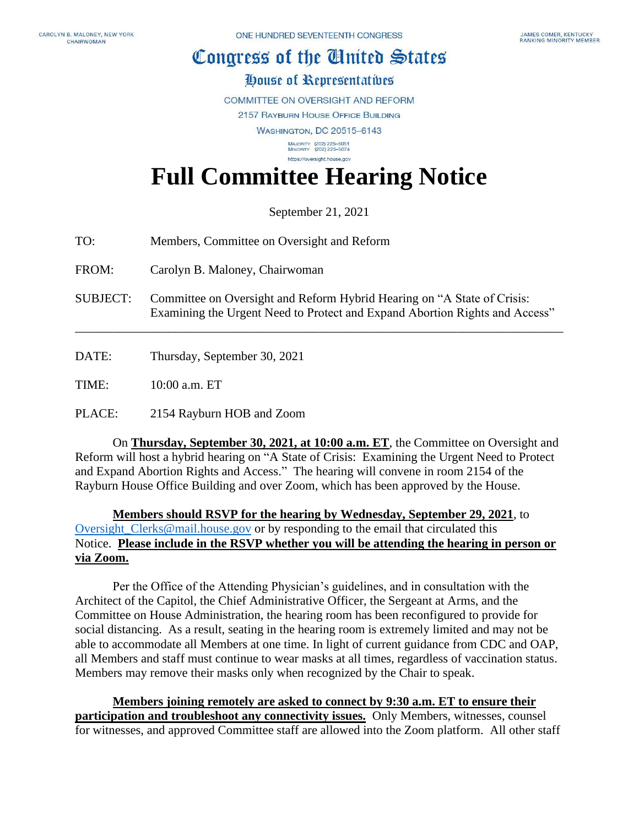## Congress of the Cinited States

## House of Representatives

**COMMITTEE ON OVERSIGHT AND REFORM** 

2157 RAYBURN HOUSE OFFICE BUILDING

**WASHINGTON, DC 20515-6143** 

MAJORITY (202) 225-5051<br>MINORITY (202) 225-5074 https://oversight.house.gov

## **Full Committee Hearing Notice**

September 21, 2021

TO: Members, Committee on Oversight and Reform

FROM: Carolyn B. Maloney, Chairwoman

SUBJECT: Committee on Oversight and Reform Hybrid Hearing on "A State of Crisis: Examining the Urgent Need to Protect and Expand Abortion Rights and Access"

\_\_\_\_\_\_\_\_\_\_\_\_\_\_\_\_\_\_\_\_\_\_\_\_\_\_\_\_\_\_\_\_\_\_\_\_\_\_\_\_\_\_\_\_\_\_\_\_\_\_\_\_\_\_\_\_\_\_\_\_\_\_\_\_\_\_\_\_\_\_\_\_\_\_\_\_\_\_

DATE: Thursday, September 30, 2021

TIME: 10:00 a.m. ET

PLACE: 2154 Rayburn HOB and Zoom

On **Thursday, September 30, 2021, at 10:00 a.m. ET**, the Committee on Oversight and Reform will host a hybrid hearing on "A State of Crisis: Examining the Urgent Need to Protect and Expand Abortion Rights and Access." The hearing will convene in room 2154 of the Rayburn House Office Building and over Zoom, which has been approved by the House.

**Members should RSVP for the hearing by Wednesday, September 29, 2021**, to Oversight Clerks@mail.house.gov or by responding to the email that circulated this Notice. **Please include in the RSVP whether you will be attending the hearing in person or via Zoom.** 

Per the Office of the Attending Physician's guidelines, and in consultation with the Architect of the Capitol, the Chief Administrative Officer, the Sergeant at Arms, and the Committee on House Administration, the hearing room has been reconfigured to provide for social distancing. As a result, seating in the hearing room is extremely limited and may not be able to accommodate all Members at one time. In light of current guidance from CDC and OAP, all Members and staff must continue to wear masks at all times, regardless of vaccination status. Members may remove their masks only when recognized by the Chair to speak.

**Members joining remotely are asked to connect by 9:30 a.m. ET to ensure their participation and troubleshoot any connectivity issues.** Only Members, witnesses, counsel for witnesses, and approved Committee staff are allowed into the Zoom platform. All other staff